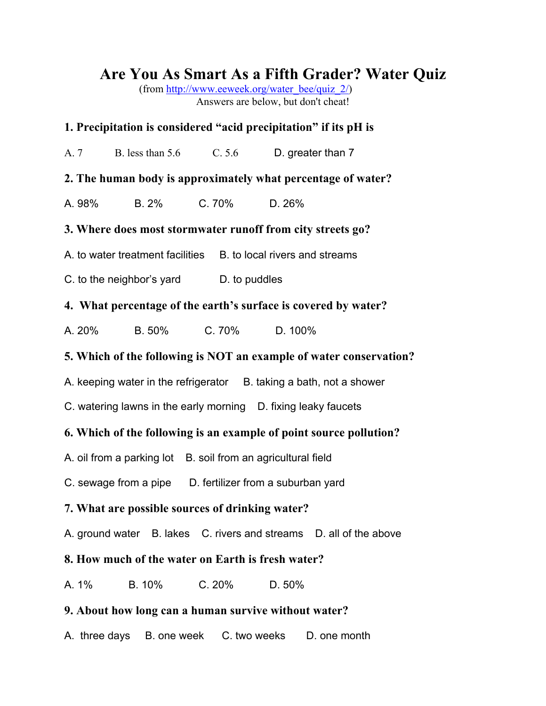# **Are You As Smart As a Fifth Grader? Water Quiz**

 (from http://www.eeweek.org/water\_bee/quiz\_2/) Answers are below, but don't cheat!

# **1. Precipitation is considered "acid precipitation" if its pH is**

A. 7 B. less than 5.6 C. 5.6 D. greater than 7

#### **2. The human body is approximately what percentage of water?**

A. 98% B. 2% C. 70% D. 26%

#### **3. Where does most stormwater runoff from city streets go?**

A. to water treatment facilities B. to local rivers and streams

C. to the neighbor's yard D. to puddles

#### **4. What percentage of the earth's surface is covered by water?**

A. 20% B. 50% C. 70% D. 100%

#### **5. Which of the following is NOT an example of water conservation?**

- A. keeping water in the refrigerator B. taking a bath, not a shower
- C. watering lawns in the early morning D. fixing leaky faucets

#### **6. Which of the following is an example of point source pollution?**

- A. oil from a parking lot B. soil from an agricultural field
- C. sewage from a pipe D. fertilizer from a suburban yard

#### **7. What are possible sources of drinking water?**

A. ground water B. lakes C. rivers and streams D. all of the above

# **8. How much of the water on Earth is fresh water?**

A. 1% B. 10% C. 20% D. 50%

#### **9. About how long can a human survive without water?**

A. three days B. one week C. two weeks D. one month